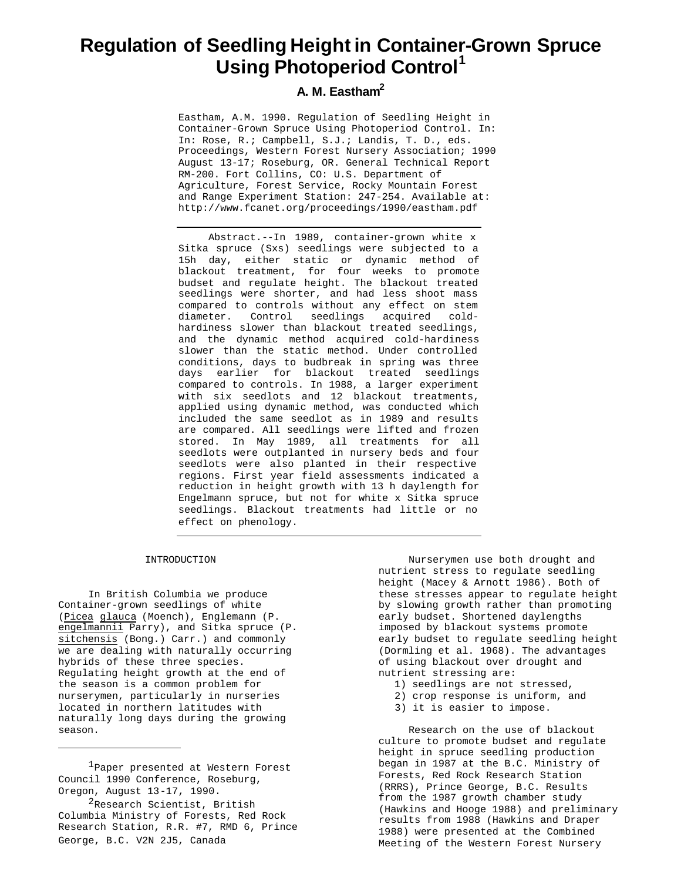# **Regulation of Seedling Height in Container-Grown Spruce Using Photoperiod Control<sup>1</sup>**

# **A. M. Eastham<sup>2</sup>**

Eastham, A.M. 1990. Regulation of Seedling Height in Container-Grown Spruce Using Photoperiod Control. In: In: Rose, R.; Campbell, S.J.; Landis, T. D., eds. Proceedings, Western Forest Nursery Association; 1990 August 13-17; Roseburg, OR. General Technical Report RM-200. Fort Collins, CO: U.S. Department of Agriculture, Forest Service, Rocky Mountain Forest and Range Experiment Station: 247-254. Available at: http://www.fcanet.org/proceedings/1990/eastham.pdf

Abstract.--In 1989, container-grown white x Sitka spruce (Sxs) seedlings were subjected to a 15h day, either static or dynamic method of blackout treatment, for four weeks to promote budset and regulate height. The blackout treated seedlings were shorter, and had less shoot mass compared to controls without any effect on stem diameter. Control seedlings acquired coldhardiness slower than blackout treated seedlings, and the dynamic method acquired cold-hardiness slower than the static method. Under controlled conditions, days to budbreak in spring was three days earlier for blackout treated seedlings compared to controls. In 1988, a larger experiment with six seedlots and 12 blackout treatments, applied using dynamic method, was conducted which included the same seedlot as in 1989 and results are compared. All seedlings were lifted and frozen stored. In May 1989, all treatments for all seedlots were outplanted in nursery beds and four seedlots were also planted in their respective regions. First year field assessments indicated a reduction in height growth with 13 h daylength for Engelmann spruce, but not for white x Sitka spruce seedlings. Blackout treatments had little or no effect on phenology.

#### INTRODUCTION

In British Columbia we produce Container-grown seedlings of white (Picea glauca (Moench), Englemann (P. engelmannii Parry), and Sitka spruce (P. sitchensis (Bong.) Carr.) and commonly we are dealing with naturally occurring hybrids of these three species. Regulating height growth at the end of the season is a common problem for nurserymen, particularly in nurseries located in northern latitudes with naturally long days during the growing season.

1Paper presented at Western Forest Council 1990 Conference, Roseburg, Oregon, August 13-17, 1990.

<sup>2</sup>Research Scientist, British Columbia Ministry of Forests, Red Rock Research Station, R.R. #7, RMD 6, Prince George, B.C. V2N 2J5, Canada

Nurserymen use both drought and nutrient stress to regulate seedling height (Macey & Arnott 1986). Both of these stresses appear to regulate height by slowing growth rather than promoting early budset. Shortened daylengths imposed by blackout systems promote early budset to regulate seedling height (Dormling et al. 1968). The advantages of using blackout over drought and nutrient stressing are:

- 1) seedlings are not stressed,
- 2) crop response is uniform, and
- 3) it is easier to impose.

Research on the use of blackout culture to promote budset and regulate height in spruce seedling production began in 1987 at the B.C. Ministry of Forests, Red Rock Research Station (RRRS), Prince George, B.C. Results from the 1987 growth chamber study (Hawkins and Hooge 1988) and preliminary results from 1988 (Hawkins and Draper 1988) were presented at the Combined Meeting of the Western Forest Nursery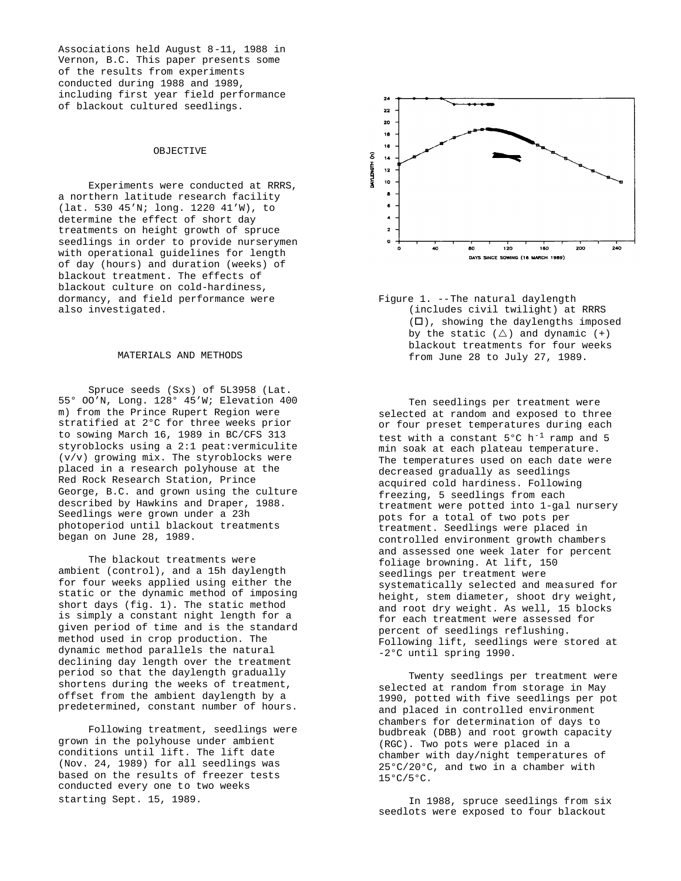Associations held August 8-11, 1988 in Vernon, B.C. This paper presents some of the results from experiments conducted during 1988 and 1989, including first year field performance of blackout cultured seedlings.

# **OBJECTIVE**

Experiments were conducted at RRRS, a northern latitude research facility (lat. 530 45'N; long. 1220 41'W), to determine the effect of short day treatments on height growth of spruce seedlings in order to provide nurserymen with operational guidelines for length of day (hours) and duration (weeks) of blackout treatment. The effects of blackout culture on cold-hardiness, dormancy, and field performance were also investigated.

#### MATERIALS AND METHODS

Spruce seeds (Sxs) of 5L3958 (Lat. 55° OO'N, Long. 128° 45'W; Elevation 400 m) from the Prince Rupert Region were stratified at 2°C for three weeks prior to sowing March 16, 1989 in BC/CFS 313 styroblocks using a 2:1 peat:vermiculite (v/v) growing mix. The styroblocks were placed in a research polyhouse at the Red Rock Research Station, Prince George, B.C. and grown using the culture described by Hawkins and Draper, 1988. Seedlings were grown under a 23h photoperiod until blackout treatments began on June 28, 1989.

The blackout treatments were ambient (control), and a 15h daylength for four weeks applied using either the static or the dynamic method of imposing short days (fig. 1). The static method is simply a constant night length for a given period of time and is the standard method used in crop production. The dynamic method parallels the natural declining day length over the treatment period so that the daylength gradually shortens during the weeks of treatment, offset from the ambient daylength by a predetermined, constant number of hours.

Following treatment, seedlings were grown in the polyhouse under ambient conditions until lift. The lift date (Nov. 24, 1989) for all seedlings was based on the results of freezer tests conducted every one to two weeks starting Sept. 15, 1989.



Figure 1. --The natural daylength (includes civil twilight) at RRRS  $(\Box)$ , showing the daylengths imposed by the static  $(\triangle)$  and dynamic  $(+)$ blackout treatments for four weeks from June 28 to July 27, 1989.

Ten seedlings per treatment were selected at random and exposed to three or four preset temperatures during each test with a constant  $5^{\circ}$ C h<sup>-1</sup> ramp and 5 min soak at each plateau temperature. The temperatures used on each date were decreased gradually as seedlings acquired cold hardiness. Following freezing, 5 seedlings from each treatment were potted into 1-gal nursery pots for a total of two pots per treatment. Seedlings were placed in controlled environment growth chambers and assessed one week later for percent foliage browning. At lift, 150 seedlings per treatment were systematically selected and measured for height, stem diameter, shoot dry weight, and root dry weight. As well, 15 blocks for each treatment were assessed for percent of seedlings reflushing. Following lift, seedlings were stored at -2°C until spring 1990.

Twenty seedlings per treatment were selected at random from storage in May 1990, potted with five seedlings per pot and placed in controlled environment chambers for determination of days to budbreak (DBB) and root growth capacity (RGC). Two pots were placed in a chamber with day/night temperatures of 25°C/20°C, and two in a chamber with 15°C/5°C.

In 1988, spruce seedlings from six seedlots were exposed to four blackout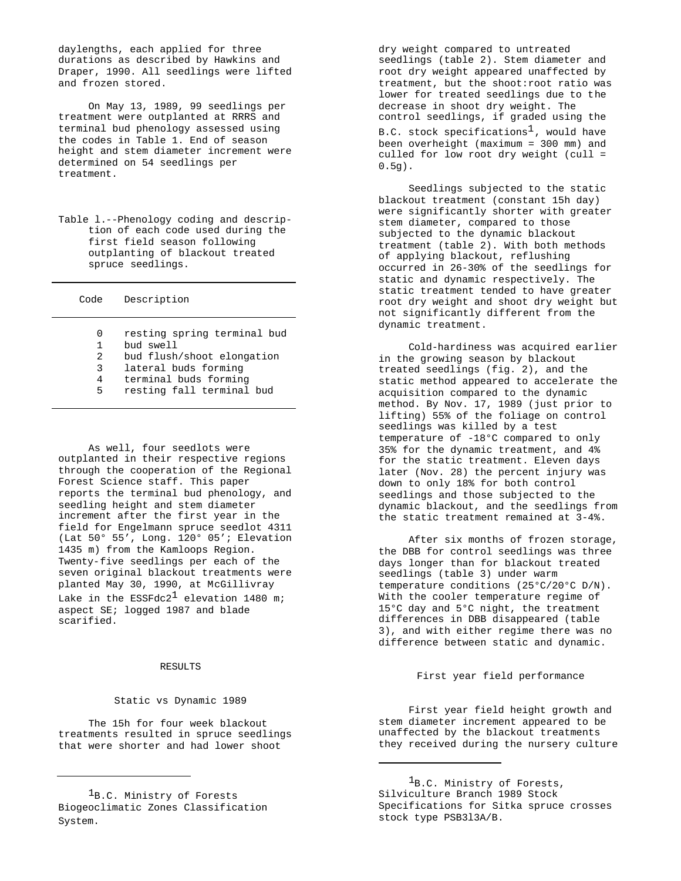daylengths, each applied for three durations as described by Hawkins and Draper, 1990. All seedlings were lifted and frozen stored.

On May 13, 1989, 99 seedlings per treatment were outplanted at RRRS and terminal bud phenology assessed using the codes in Table 1. End of season height and stem diameter increment were determined on 54 seedlings per treatment.

Table l.--Phenology coding and description of each code used during the first field season following outplanting of blackout treated spruce seedlings.

| Code | Description                 |
|------|-----------------------------|
| 0    | resting spring terminal bud |
| 1    | bud swell                   |
| 2    | bud flush/shoot elongation  |
| 3    | lateral buds forming        |
| 4    | terminal buds forming       |

5 resting fall terminal bud

As well, four seedlots were outplanted in their respective regions through the cooperation of the Regional Forest Science staff. This paper reports the terminal bud phenology, and seedling height and stem diameter increment after the first year in the field for Engelmann spruce seedlot 4311 (Lat 50° 55', Long. 120° 05'; Elevation 1435 m) from the Kamloops Region. Twenty-five seedlings per each of the seven original blackout treatments were planted May 30, 1990, at McGillivray Lake in the ESSFdc2<sup>1</sup> elevation 1480 m; aspect SE; logged 1987 and blade scarified.

#### RESULTS

#### Static vs Dynamic 1989

The 15h for four week blackout treatments resulted in spruce seedlings that were shorter and had lower shoot

dry weight compared to untreated seedlings (table 2). Stem diameter and root dry weight appeared unaffected by treatment, but the shoot:root ratio was lower for treated seedlings due to the decrease in shoot dry weight. The control seedlings, if graded using the B.C. stock specifications<sup>1</sup>, would have been overheight (maximum = 300 mm) and culled for low root dry weight (cull = 0.5g).

Seedlings subjected to the static blackout treatment (constant 15h day) were significantly shorter with greater stem diameter, compared to those subjected to the dynamic blackout treatment (table 2). With both methods of applying blackout, reflushing occurred in 26-30% of the seedlings for static and dynamic respectively. The static treatment tended to have greater root dry weight and shoot dry weight but not significantly different from the dynamic treatment.

Cold-hardiness was acquired earlier in the growing season by blackout treated seedlings (fig. 2), and the static method appeared to accelerate the acquisition compared to the dynamic method. By Nov. 17, 1989 (just prior to lifting) 55% of the foliage on control seedlings was killed by a test temperature of -18°C compared to only 35% for the dynamic treatment, and 4% for the static treatment. Eleven days later (Nov. 28) the percent injury was down to only 18% for both control seedlings and those subjected to the dynamic blackout, and the seedlings from the static treatment remained at 3-4%.

After six months of frozen storage, the DBB for control seedlings was three days longer than for blackout treated seedlings (table 3) under warm temperature conditions (25°C/20°C D/N). With the cooler temperature regime of 15°C day and 5°C night, the treatment differences in DBB disappeared (table 3), and with either regime there was no difference between static and dynamic.

## First year field performance

First year field height growth and stem diameter increment appeared to be unaffected by the blackout treatments they received during the nursery culture

1B.C. Ministry of Forests, Silviculture Branch 1989 Stock Specifications for Sitka spruce crosses stock type PSB3l3A/B.

<sup>&</sup>lt;sup>1</sup>B.C. Ministry of Forests Biogeoclimatic Zones Classification System.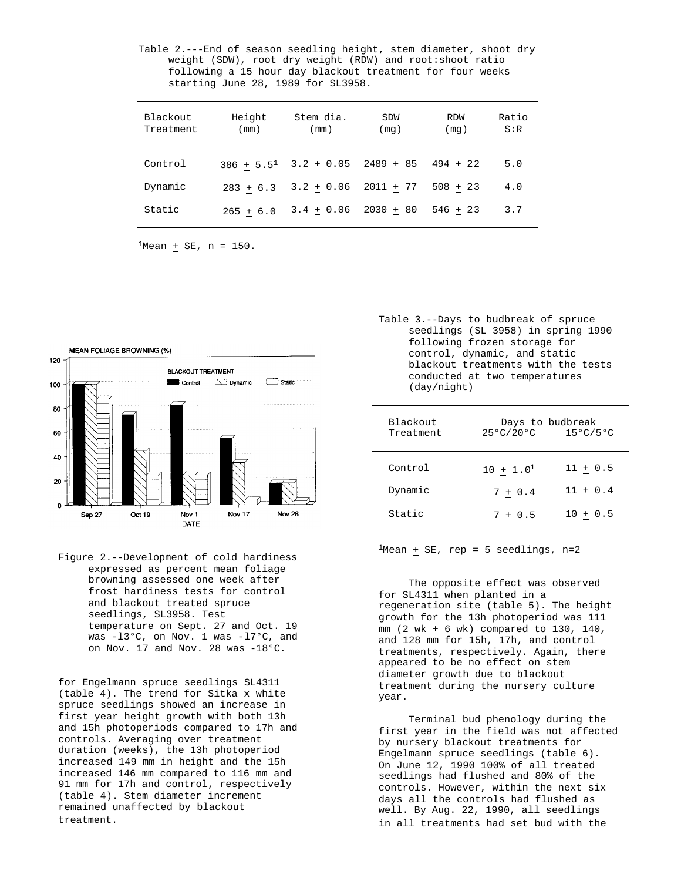Table 2.---End of season seedling height, stem diameter, shoot dry weight (SDW), root dry weight (RDW) and root:shoot ratio following a 15 hour day blackout treatment for four weeks starting June 28, 1989 for SL3958.

| Blackout<br>Treatment | Height<br>(mm)  | Stem dia.<br>(mm) | SDW<br>(mq) | <b>RDW</b><br>(mq) | Ratio<br>S:R |
|-----------------------|-----------------|-------------------|-------------|--------------------|--------------|
| Control               | $386 + 5.5^{1}$ | $3.2 + 0.05$      | 2489 + 85   | $494 + 22$         | 5.0          |
| Dynamic               | $283 + 6.3$     | $3.2 + 0.06$      | $2011 + 77$ | $508 + 23$         | 4.0          |
| Static                | $265 + 6.0$     | $3.4 + 0.06$      | $2030 + 80$ | $546 + 23$         | 3.7          |

 $1$ Mean + SE, n = 150.



Figure 2.--Development of cold hardiness expressed as percent mean foliage browning assessed one week after frost hardiness tests for control and blackout treated spruce seedlings, SL3958. Test temperature on Sept. 27 and Oct. 19 was -l3°C, on Nov. 1 was -l7°C, and on Nov. 17 and Nov. 28 was -18°C.

for Engelmann spruce seedlings SL4311 (table 4). The trend for Sitka x white spruce seedlings showed an increase in first year height growth with both 13h and 15h photoperiods compared to 17h and controls. Averaging over treatment duration (weeks), the 13h photoperiod increased 149 mm in height and the 15h increased 146 mm compared to 116 mm and 91 mm for 17h and control, respectively (table 4). Stem diameter increment remained unaffected by blackout treatment.

Table 3.--Days to budbreak of spruce seedlings (SL 3958) in spring 1990 following frozen storage for control, dynamic, and static blackout treatments with the tests conducted at two temperatures (day/night)

| Blackout<br>Treatment | Days to budbreak<br>25°C/20°C | $15^{\circ}$ C/5 $^{\circ}$ C |
|-----------------------|-------------------------------|-------------------------------|
| Control               | $10 + 1.0^1$                  | $11 + 0.5$                    |
| Dynamic               | $7 + 0.4$                     | $11 + 0.4$                    |
| Static                | $7 + 0.5$                     | $10 + 0.5$                    |

 $1$ Mean  $+$  SE, rep = 5 seedlings, n=2

The opposite effect was observed for SL4311 when planted in a regeneration site (table 5). The height growth for the 13h photoperiod was 111 mm (2 wk + 6 wk) compared to 130, 140, and 128 mm for 15h, 17h, and control treatments, respectively. Again, there appeared to be no effect on stem diameter growth due to blackout treatment during the nursery culture year.

Terminal bud phenology during the first year in the field was not affected by nursery blackout treatments for Engelmann spruce seedlings (table 6). On June 12, 1990 100% of all treated seedlings had flushed and 80% of the controls. However, within the next six days all the controls had flushed as well. By Aug. 22, 1990, all seedlings in all treatments had set bud with the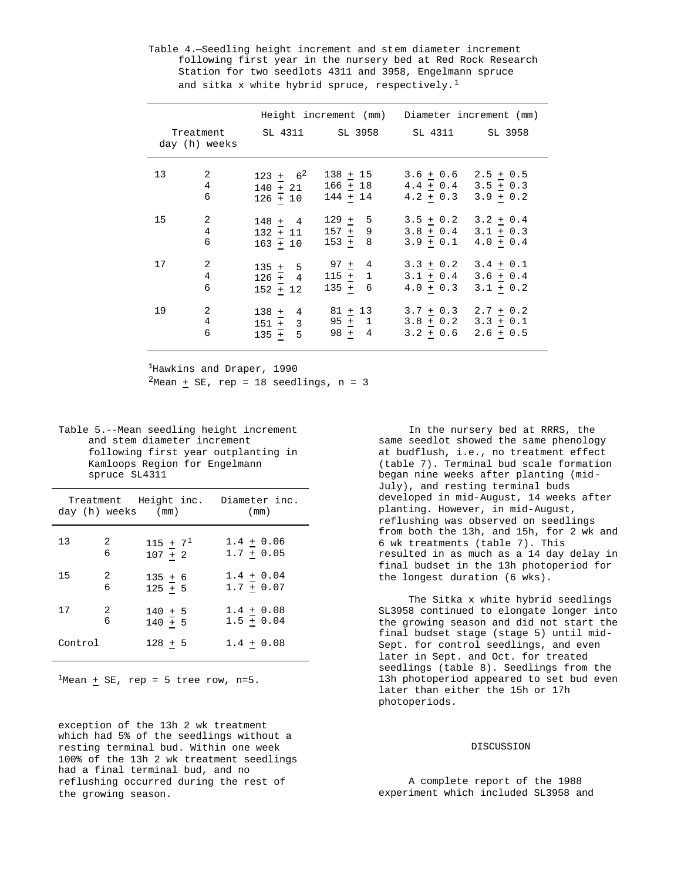Table 4.—Seedling height increment and stem diameter increment following first year in the nursery bed at Red Rock Research Station for two seedlots 4311 and 3958, Engelmann spruce and sitka x white hybrid spruce, respectively.<sup>1</sup>

|    |               |                                                 | Height increment (mm) Diameter increment (mm) |                                                                               |             |
|----|---------------|-------------------------------------------------|-----------------------------------------------|-------------------------------------------------------------------------------|-------------|
|    | day (h) weeks | Treatment SL 4311 SL 3958 SL 4311 SL 3958       |                                               |                                                                               |             |
| 13 | 2<br>4<br>6   | $123 + 6^2$<br>$140 + 21$<br>$126 + 10$         | $138 + 15$<br>$166 + 18$<br>$144 + 14$        | $3.6 + 0.6$ $2.5 + 0.5$<br>$4.4 + 0.4$ $3.5 + 0.3$<br>$4.2 + 0.3$ $3.9 + 0.2$ |             |
| 15 | 2<br>4<br>6   | $148 + 4$<br>$132 + 11$<br>$163 + 10$           | $129 + 5$<br>$157 + 9$<br>$153 + 8$           | $3.5 + 0.2$ $3.2 + 0.4$<br>$3.8 + 0.4$ $3.1 + 0.3$<br>$3.9 + 0.1$ 4.0 + 0.4   |             |
| 17 | 2<br>4<br>6   | $135 + 5$<br>$126 + 4$<br>$152 + 12$            | 97 $+$ 4<br>$115 + 1$<br>$135 + 6$            | $3.3 + 0.2$ $3.4 + 0.1$<br>$3.1 + 0.4$ $3.6 + 0.4$<br>$4.0 + 0.3$ $3.1 + 0.2$ |             |
| 19 | 2<br>4<br>6   | $138 + 4$<br>$\frac{151 + 3}{155}$<br>$135 + 5$ | $81 + 13$<br>$95 + 1$<br>$98 + 4$             | $3.7 + 0.3$ $2.7 + 0.2$<br>$3.8 + 0.2$ $3.3 + 0.1$<br>$3.2 + 0.6$             | $2.6 + 0.5$ |

<sup>1</sup>Hawkins and Draper, 1990  $2$ Mean + SE, rep = 18 seedlings, n = 3

Table 5.--Mean seedling height increment and stem diameter increment following first year outplanting in Kamloops Region for Engelmann spruce SL4311

|         | day (h) weeks (mm) | Treatment Height inc. | Diameter inc.<br>(mm) |
|---------|--------------------|-----------------------|-----------------------|
| 13      | 2                  | 115 $+ 7^1$           | $1.4 + 0.06$          |
|         | 6                  | $107 + 2$             | $1.7 + 0.05$          |
| 15      | 2                  | $135 + 6$             | $1.4 + 0.04$          |
|         | 6                  | $125 \pm 5$           | $1.7 + 0.07$          |
| 17      | 2                  | $140 + 5$             | $1.4 + 0.08$          |
|         | 6                  | $140 + 5$             | $1.5 + 0.04$          |
| Control |                    | $128 + 5$             | $1.4 + 0.08$          |

 $1$ Mean + SE, rep = 5 tree row, n=5.

exception of the 13h 2 wk treatment which had 5% of the seedlings without a resting terminal bud. Within one week 100% of the 13h 2 wk treatment seedlings had a final terminal bud, and no reflushing occurred during the rest of the growing season.

In the nursery bed at RRRS, the same seedlot showed the same phenology at budflush, i.e., no treatment effect (table 7). Terminal bud scale formation began nine weeks after planting (mid-July), and resting terminal buds developed in mid-August, 14 weeks after planting. However, in mid-August, reflushing was observed on seedlings from both the 13h, and 15h, for 2 wk and 6 wk treatments (table 7). This resulted in as much as a 14 day delay in final budset in the 13h photoperiod for the longest duration (6 wks).

The Sitka x white hybrid seedlings SL3958 continued to elongate longer into the growing season and did not start the final budset stage (stage 5) until mid-Sept. for control seedlings, and even later in Sept. and Oct. for treated seedlings (table 8). Seedlings from the 13h photoperiod appeared to set bud even later than either the 15h or 17h photoperiods.

# DISCUSSION

A complete report of the 1988 experiment which included SL3958 and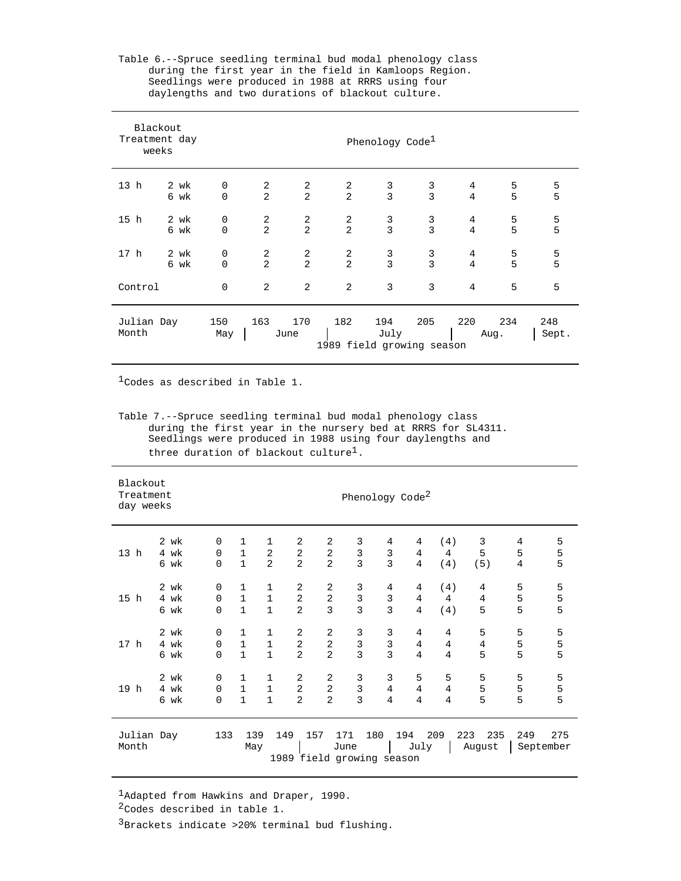| Blackout<br>Treatment day<br>weeks |      |             |                |                |                                  | Phenology $Code\perp$ |                |                |             |              |  |  |
|------------------------------------|------|-------------|----------------|----------------|----------------------------------|-----------------------|----------------|----------------|-------------|--------------|--|--|
| 13 <sub>h</sub>                    | 2 wk | $\mathbf 0$ | 2              | 2              | 2                                | 3                     | 3              | 4              | 5           | 5            |  |  |
|                                    | 6 wk | $\Omega$    | 2              | $\overline{2}$ | 2                                | 3                     | $\overline{3}$ | 4              | 5           | 5            |  |  |
| 15 <sub>h</sub>                    | 2 wk | $\mathbf 0$ | 2              | 2              | 2                                | $\mathsf 3$           | 3              | 4              | 5           | 5            |  |  |
|                                    | 6 wk | $\Omega$    | 2              | $\overline{a}$ | 2                                | $\overline{3}$        | $\overline{3}$ | $\overline{4}$ | 5           | 5            |  |  |
| 17 <sub>h</sub>                    | 2 wk | $\mathbf 0$ | 2              | 2              | 2                                | 3                     | 3              | 4              | 5           | 5            |  |  |
|                                    | 6 wk | $\Omega$    | $\overline{a}$ | $\overline{a}$ | 2                                | 3                     | $\overline{3}$ | $\overline{4}$ | 5           | 5            |  |  |
| Control                            |      | $\mathbf 0$ | 2              | 2              | 2                                | 3                     | 3              | $\overline{4}$ | 5           | 5            |  |  |
| Julian Day<br>Month                |      | 150<br>May  | 163            | 170<br>June    | 182<br>1989 field growing season | 194<br>July           | 205            | 220            | 234<br>Aug. | 248<br>Sept. |  |  |

Table 6.--Spruce seedling terminal bud modal phenology class during the first year in the field in Kamloops Region. Seedlings were produced in 1988 at RRRS using four daylengths and two durations of blackout culture.

Codes as described in Table 1.

Table 7.--Spruce seedling terminal bud modal phenology class during the first year in the nursery bed at RRRS for SL4311. Seedlings were produced in 1988 using four daylengths and three duration of blackout culture<sup>1</sup>.

| Blackout<br>Treatment<br>day weeks |      | Phenology Code <sup>2</sup> |              |                |                |                |                                  |                |      |                |                      |     |                  |
|------------------------------------|------|-----------------------------|--------------|----------------|----------------|----------------|----------------------------------|----------------|------|----------------|----------------------|-----|------------------|
| 13 h                               | 2 wk | $\Omega$                    | $\mathbf{1}$ | $\mathbf{1}$   | 2              | 2              | 3                                | 4              | 4    | (4)            | 3                    | 4   | 5                |
|                                    | 4 wk | $\Omega$                    | $\mathbf{1}$ | $\overline{2}$ | $\overline{2}$ | 2              | $\mathsf 3$                      | 3              | 4    | $\overline{4}$ | 5                    | 5   | 5                |
|                                    | 6 wk | 0                           | $\mathbf{1}$ | $\overline{2}$ | $\overline{2}$ | $\overline{2}$ | $\overline{3}$                   | $\overline{3}$ | 4    | (4)            | (5)                  | 4   | 5                |
| 15 h                               | 2 wk | $\mathbf 0$                 | $\mathbf 1$  | $\mathbf 1$    | 2              | $\overline{2}$ | 3                                | 4              | 4    | (4)            | 4                    | 5   | 5                |
|                                    | 4 wk | $\mathbf 0$                 | $\mathbf{1}$ | $\mathbf{1}$   | 2              | $\overline{2}$ | $\mathbf{3}$                     | 3              | 4    | $\overline{4}$ | 4                    | 5   | 5                |
|                                    | 6 wk | 0                           | $\mathbf{1}$ | $\mathbf{1}$   | 2              | 3              | $\overline{3}$                   | $\overline{3}$ | 4    | (4)            | 5                    | 5   | 5                |
| 17 <sub>h</sub>                    | 2 wk | 0                           | 1            | $\mathbf 1$    | 2              | 2              | 3                                | 3              | 4    | 4              | 5                    | 5   | 5                |
|                                    | 4 wk | $\Omega$                    | $\mathbf{1}$ | $\mathbf{1}$   | 2              | $\overline{a}$ | $\mathsf 3$                      | 3              | 4    | $\overline{4}$ | 4                    | 5   | 5                |
|                                    | 6 wk | 0                           | $\mathbf{1}$ | $\mathbf{1}$   | $\overline{2}$ | $\overline{2}$ | $\overline{3}$                   | $\overline{3}$ | 4    | $\overline{4}$ | 5                    | 5   | 5                |
| 19 h                               | 2 wk | 0                           | $\mathbf{1}$ | $\mathbf{1}$   | 2              | 2              | 3                                | 3              | 5    | 5              | 5                    | 5   | 5                |
|                                    | 4 wk | $\Omega$                    | $\mathbf{1}$ | $1\,$          | 2              | 2              | $\mathbf{3}$                     | 4              | 4    | 4              | 5                    | 5   | 5                |
|                                    | 6 wk | $\mathbf 0$                 | $\mathbf{1}$ | $\mathbf{1}$   | $\overline{2}$ | $\overline{2}$ | $\overline{3}$                   | $\overline{4}$ | 4    | $\overline{4}$ | 5                    | 5   | 5                |
| Julian Day<br>Month                |      | 133                         | 139<br>May   | 149            | 157            | 171<br>June    | 180<br>1989 field growing season | 194            | July | 209            | 223<br>235<br>August | 249 | 275<br>September |

Adapted from Hawkins and Draper, 1990.

<sup>2</sup>Codes described in table 1.

 $3B$ rackets indicate >20% terminal bud flushing.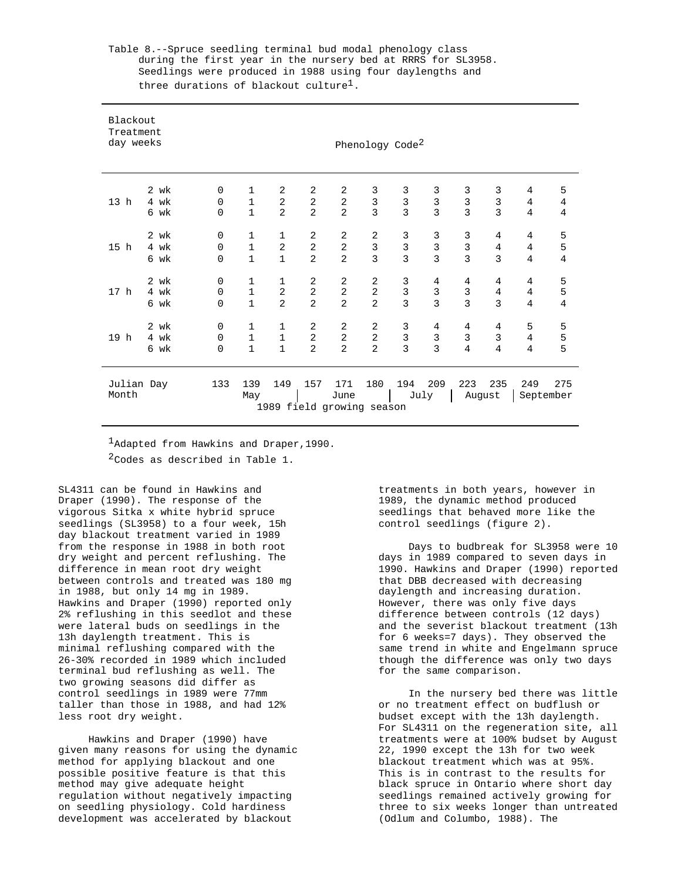| Blackout<br>Treatment<br>day weeks |                      |                                 |                                              |                          |                          |                          | Phenology Code <sup>2</sup>         |                    |                    |                                            |                                   |                |                  |
|------------------------------------|----------------------|---------------------------------|----------------------------------------------|--------------------------|--------------------------|--------------------------|-------------------------------------|--------------------|--------------------|--------------------------------------------|-----------------------------------|----------------|------------------|
| 13 <sub>h</sub>                    | 2 wk<br>4 wk<br>6 wk | $\mathbf 0$<br>0<br>$\mathbf 0$ | $\mathbf{1}$<br>$\mathbf{1}$<br>$\mathbf{1}$ | 2<br>2<br>$\overline{2}$ | 2<br>2<br>$\overline{a}$ | 2<br>2<br>$\overline{2}$ | 3<br>$\mathbf{3}$<br>$\overline{3}$ | 3<br>$\frac{3}{3}$ | 3<br>$\frac{3}{3}$ | 3<br>$\begin{array}{c} 3 \\ 3 \end{array}$ | 3<br>$\mathsf{3}$<br>$\mathbf{3}$ | 4<br>4<br>4    | 5<br>4<br>4      |
| 15 h                               | 2 wk                 | $\mathbf 0$                     | $\mathbf{1}$                                 | $\mathbf{1}$             | 2                        | 2                        | 2                                   | 3                  | 3                  | 3                                          | 4                                 | 4              | 5                |
|                                    | 4 wk                 | $\mathbf{0}$                    | $\mathbf{1}$                                 | 2                        | $\overline{2}$           | $\overline{2}$           | $\mathbf{3}$                        | $\overline{3}$     | $\overline{3}$     | $\overline{3}$                             | 4                                 | $\overline{4}$ | 5                |
|                                    | 6 wk                 | $\mathbf 0$                     | $\mathbf{1}$                                 | $\mathbf{1}$             | $\overline{2}$           | 2                        | $\overline{3}$                      | $\overline{3}$     | 3                  | $\overline{3}$                             | 3                                 | 4              | $\overline{4}$   |
| 17 <sub>h</sub>                    | 2 wk                 | $\mathbf 0$                     | $\mathbf 1$                                  | $\mathbf 1$              | 2                        | 2                        | 2                                   | 3                  | 4                  | 4                                          | 4                                 | 4              | 5                |
|                                    | 4 wk                 | $\Omega$                        | $\mathbf 1$                                  | $\overline{a}$           | $\overline{a}$           | $\overline{a}$           | $\overline{a}$                      | $\overline{3}$     | $\mathbf{3}$       | $\overline{3}$                             | 4                                 | 4              | 5                |
|                                    | 6 wk                 | $\mathbf 0$                     | $\mathbf{1}$                                 | $\overline{2}$           | $\overline{2}$           | $\overline{a}$           | $\overline{2}$                      | 3                  | $\overline{3}$     | $\overline{3}$                             | $\overline{3}$                    | 4              | $\overline{4}$   |
| 19 h                               | 2 wk                 | $\mathbf 0$                     | $\mathbf 1$                                  | 1                        | 2                        | 2                        | 2                                   | 3                  | 4                  | 4                                          | 4                                 | 5              | 5                |
|                                    | 4 wk                 | $\mathbf 0$                     | $\mathbf 1$                                  | $\mathbf{1}$             | $\overline{2}$           | $\sqrt{2}$               | 2                                   | 3                  | $\mathbf{3}$       | 3                                          | 3                                 | 4              | 5                |
|                                    | 6 wk                 | $\mathbf 0$                     | $\mathbf{1}$                                 | $\mathbf{1}$             | $\overline{a}$           | $\overline{a}$           | $\overline{2}$                      | $\overline{3}$     | $\overline{3}$     | $\overline{4}$                             | 4                                 | 4              | 5                |
| Julian Day<br>Month                |                      | 133                             | 139<br>May                                   | 149                      | 157                      | 171<br>June              | 180<br>1989 field growing season    | 194                | 209<br>July        | 223                                        | 235<br>August                     | 249            | 275<br>September |

Table 8.--Spruce seedling terminal bud modal phenology class during the first year in the nursery bed at RRRS for SL3958. Seedlings were produced in 1988 using four daylengths and three durations of blackout culture<sup>1</sup>.

Adapted from Hawkins and Draper, 1990. <sup>2</sup>Codes as described in Table 1.

SL4311 can be found in Hawkins and Draper (1990). The response of the vigorous Sitka x white hybrid spruce seedlings (SL3958) to a four week, 15h day blackout treatment varied in 1989 from the response in 1988 in both root dry weight and percent reflushing. The difference in mean root dry weight between controls and treated was 180 mg in 1988, but only 14 mg in 1989. Hawkins and Draper (1990) reported only 2% reflushing in this seedlot and these were lateral buds on seedlings in the 13h daylength treatment. This is minimal reflushing compared with the 26-30% recorded in 1989 which included terminal bud reflushing as well. The two growing seasons did differ as control seedlings in 1989 were 77mm taller than those in 1988, and had 12% less root dry weight.

Hawkins and Draper (1990) have given many reasons for using the dynamic method for applying blackout and one possible positive feature is that this method may give adequate height regulation without negatively impacting on seedling physiology. Cold hardiness development was accelerated by blackout

treatments in both years, however in 1989, the dynamic method produced seedlings that behaved more like the control seedlings (figure 2).

Days to budbreak for SL3958 were 10 days in 1989 compared to seven days in 1990. Hawkins and Draper (1990) reported that DBB decreased with decreasing daylength and increasing duration. However, there was only five days difference between controls (12 days) and the severist blackout treatment (13h for 6 weeks=7 days). They observed the same trend in white and Engelmann spruce though the difference was only two days for the same comparison.

In the nursery bed there was little or no treatment effect on budflush or budset except with the 13h daylength. For SL4311 on the regeneration site, all treatments were at 100% budset by August 22, 1990 except the 13h for two week blackout treatment which was at 95%. This is in contrast to the results for black spruce in Ontario where short day seedlings remained actively growing for three to six weeks longer than untreated (Odlum and Columbo, 1988). The